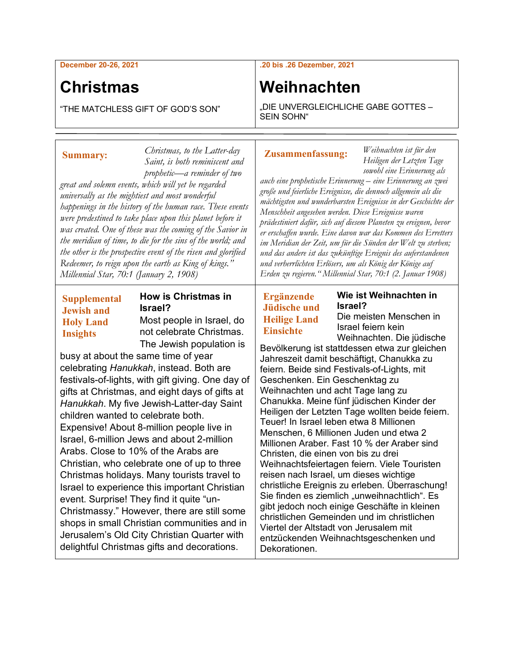**December 20-26, 2021**

## **Christmas**

**Summary:**

"THE MATCHLESS GIFT OF GOD'S SON"

*great and solemn events, which will yet be regarded universally as the mightiest and most wonderful* 

*Millennial Star, 70:1 (January 2, 1908)*

*happenings in the history of the human race. These events were predestined to take place upon this planet before it was created. One of these was the coming of the Savior in the meridian of time, to die for the sins of the world; and the other is the prospective event of the risen and glorified Redeemer, to reign upon the earth as King of kings."* 

#### **.20 bis .26 Dezember, 2021**

## **Weihnachten**

"DIE UNVERGLEICHLICHE GABE GOTTES – SEIN SOHN"

#### **Zusammenfassung:**

**Ergänzende Jüdische und Heilige Land Einsichte**

*Weihnachten ist für den Heiligen der Letzten Tage sowohl eine Erinnerung als* 

*auch eine prophetische Erinnerung – eine Erinnerung an zwei große und feierliche Ereignisse, die dennoch allgemein als die mächtigsten und wunderbarsten Ereignisse in der Geschichte der Menschheit angesehen werden. Diese Ereignisse waren prädestiniert dafür, sich auf diesem Planeten zu ereignen, bevor er erschaffen wurde. Eine davon war das Kommen des Erretters im Meridian der Zeit, um für die Sünden der Welt zu sterben; und das andere ist das zukünftige Ereignis des auferstandenen und verherrlichten Erlösers, um als König der Könige auf Erden zu regieren." Millennial Star, 70:1 (2. Januar 1908)*

# **How is Christmas in**

**Wie ist Weihnachten in Israel?** Die meisten Menschen in

Israel feiern kein Weihnachten. Die jüdische

Bevölkerung ist stattdessen etwa zur gleichen Jahreszeit damit beschäftigt, Chanukka zu feiern. Beide sind Festivals-of-Lights, mit Geschenken. Ein Geschenktag zu Weihnachten und acht Tage lang zu Chanukka. Meine fünf jüdischen Kinder der Heiligen der Letzten Tage wollten beide feiern. Teuer! In Israel leben etwa 8 Millionen Menschen, 6 Millionen Juden und etwa 2 Millionen Araber. Fast 10 % der Araber sind Christen, die einen von bis zu drei Weihnachtsfeiertagen feiern. Viele Touristen reisen nach Israel, um dieses wichtige christliche Ereignis zu erleben. Überraschung! Sie finden es ziemlich "unweihnachtlich". Es gibt jedoch noch einige Geschäfte in kleinen christlichen Gemeinden und im christlichen Viertel der Altstadt von Jerusalem mit entzückenden Weihnachtsgeschenken und Dekorationen.

### **Supplemental Jewish and Holy Land Insights**

**Israel?** Most people in Israel, do not celebrate Christmas. The Jewish population is

*Christmas, to the Latter-day Saint, is both reminiscent and prophetic—a reminder of two* 

busy at about the same time of year celebrating *Hanukkah*, instead. Both are festivals-of-lights, with gift giving. One day of gifts at Christmas, and eight days of gifts at *Hanukkah*. My five Jewish-Latter-day Saint children wanted to celebrate both. Expensive! About 8-million people live in Israel, 6-million Jews and about 2-million Arabs. Close to 10% of the Arabs are Christian, who celebrate one of up to three Christmas holidays. Many tourists travel to Israel to experience this important Christian event. Surprise! They find it quite "un-Christmassy." However, there are still some shops in small Christian communities and in Jerusalem's Old City Christian Quarter with delightful Christmas gifts and decorations.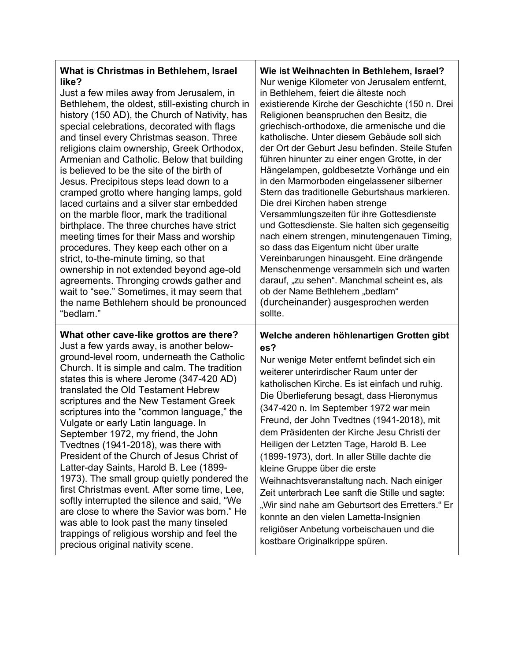| What is Christmas in Bethlehem, Israel<br>like?<br>Just a few miles away from Jerusalem, in<br>Bethlehem, the oldest, still-existing church in<br>history (150 AD), the Church of Nativity, has<br>special celebrations, decorated with flags<br>and tinsel every Christmas season. Three<br>religions claim ownership, Greek Orthodox,<br>Armenian and Catholic. Below that building<br>is believed to be the site of the birth of<br>Jesus. Precipitous steps lead down to a<br>cramped grotto where hanging lamps, gold<br>laced curtains and a silver star embedded<br>on the marble floor, mark the traditional<br>birthplace. The three churches have strict<br>meeting times for their Mass and worship<br>procedures. They keep each other on a<br>strict, to-the-minute timing, so that<br>ownership in not extended beyond age-old<br>agreements. Thronging crowds gather and<br>wait to "see." Sometimes, it may seem that<br>the name Bethlehem should be pronounced<br>"bedlam." | Wie ist Weihnachten in Bethlehem, Israel?<br>Nur wenige Kilometer von Jerusalem entfernt,<br>in Bethlehem, feiert die älteste noch<br>existierende Kirche der Geschichte (150 n. Drei<br>Religionen beanspruchen den Besitz, die<br>griechisch-orthodoxe, die armenische und die<br>katholische. Unter diesem Gebäude soll sich<br>der Ort der Geburt Jesu befinden. Steile Stufen<br>führen hinunter zu einer engen Grotte, in der<br>Hängelampen, goldbesetzte Vorhänge und ein<br>in den Marmorboden eingelassener silberner<br>Stern das traditionelle Geburtshaus markieren.<br>Die drei Kirchen haben strenge<br>Versammlungszeiten für ihre Gottesdienste<br>und Gottesdienste. Sie halten sich gegenseitig<br>nach einem strengen, minutengenauen Timing,<br>so dass das Eigentum nicht über uralte<br>Vereinbarungen hinausgeht. Eine drängende<br>Menschenmenge versammeln sich und warten<br>darauf, "zu sehen". Manchmal scheint es, als<br>ob der Name Bethlehem "bedlam"<br>(durcheinander) ausgesprochen werden<br>sollte. |
|-----------------------------------------------------------------------------------------------------------------------------------------------------------------------------------------------------------------------------------------------------------------------------------------------------------------------------------------------------------------------------------------------------------------------------------------------------------------------------------------------------------------------------------------------------------------------------------------------------------------------------------------------------------------------------------------------------------------------------------------------------------------------------------------------------------------------------------------------------------------------------------------------------------------------------------------------------------------------------------------------|-------------------------------------------------------------------------------------------------------------------------------------------------------------------------------------------------------------------------------------------------------------------------------------------------------------------------------------------------------------------------------------------------------------------------------------------------------------------------------------------------------------------------------------------------------------------------------------------------------------------------------------------------------------------------------------------------------------------------------------------------------------------------------------------------------------------------------------------------------------------------------------------------------------------------------------------------------------------------------------------------------------------------------------------|
| What other cave-like grottos are there?<br>Just a few yards away, is another below-<br>ground-level room, underneath the Catholic<br>Church. It is simple and calm. The tradition<br>states this is where Jerome (347-420 AD)<br>translated the Old Testament Hebrew<br>scriptures and the New Testament Greek<br>scriptures into the "common language," the<br>Vulgate or early Latin language. In<br>September 1972, my friend, the John<br>Tvedtnes (1941-2018), was there with<br>President of the Church of Jesus Christ of<br>Latter-day Saints, Harold B. Lee (1899-<br>1973). The small group quietly pondered the<br>first Christmas event. After some time, Lee,<br>softly interrupted the silence and said, "We<br>are close to where the Savior was born." He<br>was able to look past the many tinseled<br>trappings of religious worship and feel the<br>precious original nativity scene.                                                                                      | Welche anderen höhlenartigen Grotten gibt<br>es?<br>Nur wenige Meter entfernt befindet sich ein<br>weiterer unterirdischer Raum unter der<br>katholischen Kirche. Es ist einfach und ruhig.<br>Die Überlieferung besagt, dass Hieronymus<br>(347-420 n. Im September 1972 war mein<br>Freund, der John Tvedtnes (1941-2018), mit<br>dem Präsidenten der Kirche Jesu Christi der<br>Heiligen der Letzten Tage, Harold B. Lee<br>(1899-1973), dort. In aller Stille dachte die<br>kleine Gruppe über die erste<br>Weihnachtsveranstaltung nach. Nach einiger<br>Zeit unterbrach Lee sanft die Stille und sagte:<br>"Wir sind nahe am Geburtsort des Erretters." Er<br>konnte an den vielen Lametta-Insignien<br>religiöser Anbetung vorbeischauen und die<br>kostbare Originalkrippe spüren.                                                                                                                                                                                                                                                |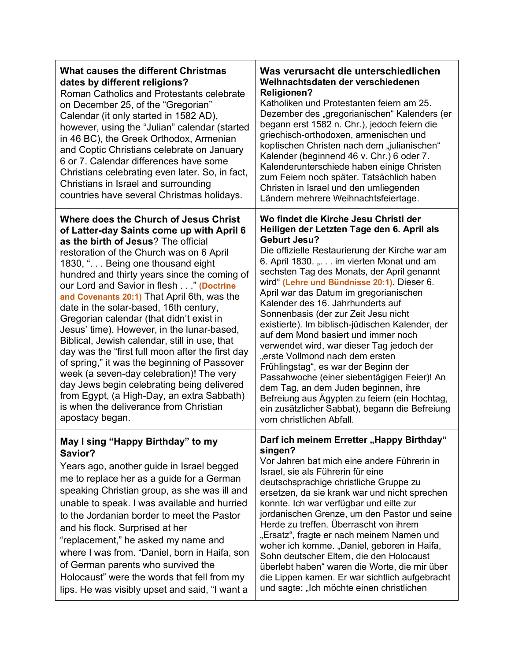| <b>What causes the different Christmas</b><br>dates by different religions?<br>Roman Catholics and Protestants celebrate<br>on December 25, of the "Gregorian"<br>Calendar (it only started in 1582 AD),<br>however, using the "Julian" calendar (started<br>in 46 BC), the Greek Orthodox, Armenian<br>and Coptic Christians celebrate on January<br>6 or 7. Calendar differences have some<br>Christians celebrating even later. So, in fact,<br>Christians in Israel and surrounding<br>countries have several Christmas holidays.                                                                                                                                                                                                                                                                                                               | Was verursacht die unterschiedlichen<br>Weihnachtsdaten der verschiedenen<br><b>Religionen?</b><br>Katholiken und Protestanten feiern am 25.<br>Dezember des "gregorianischen" Kalenders (er<br>begann erst 1582 n. Chr.), jedoch feiern die<br>griechisch-orthodoxen, armenischen und<br>koptischen Christen nach dem "julianischen"<br>Kalender (beginnend 46 v. Chr.) 6 oder 7.<br>Kalenderunterschiede haben einige Christen<br>zum Feiern noch später. Tatsächlich haben<br>Christen in Israel und den umliegenden<br>Ländern mehrere Weihnachtsfeiertage.                                                                                                                                                                                                                                                                                                        |
|-----------------------------------------------------------------------------------------------------------------------------------------------------------------------------------------------------------------------------------------------------------------------------------------------------------------------------------------------------------------------------------------------------------------------------------------------------------------------------------------------------------------------------------------------------------------------------------------------------------------------------------------------------------------------------------------------------------------------------------------------------------------------------------------------------------------------------------------------------|------------------------------------------------------------------------------------------------------------------------------------------------------------------------------------------------------------------------------------------------------------------------------------------------------------------------------------------------------------------------------------------------------------------------------------------------------------------------------------------------------------------------------------------------------------------------------------------------------------------------------------------------------------------------------------------------------------------------------------------------------------------------------------------------------------------------------------------------------------------------|
| Where does the Church of Jesus Christ<br>of Latter-day Saints come up with April 6<br>as the birth of Jesus? The official<br>restoration of the Church was on 6 April<br>1830, ". Being one thousand eight<br>hundred and thirty years since the coming of<br>our Lord and Savior in flesh " (Doctrine<br>and Covenants 20:1) That April 6th, was the<br>date in the solar-based, 16th century,<br>Gregorian calendar (that didn't exist in<br>Jesus' time). However, in the lunar-based,<br>Biblical, Jewish calendar, still in use, that<br>day was the "first full moon after the first day<br>of spring," it was the beginning of Passover<br>week (a seven-day celebration)! The very<br>day Jews begin celebrating being delivered<br>from Egypt, (a High-Day, an extra Sabbath)<br>is when the deliverance from Christian<br>apostacy began. | Wo findet die Kirche Jesu Christi der<br>Heiligen der Letzten Tage den 6. April als<br><b>Geburt Jesu?</b><br>Die offizielle Restaurierung der Kirche war am<br>6. April 1830. ". im vierten Monat und am<br>sechsten Tag des Monats, der April genannt<br>wird" (Lehre und Bündnisse 20:1). Dieser 6.<br>April war das Datum im gregorianischen<br>Kalender des 16. Jahrhunderts auf<br>Sonnenbasis (der zur Zeit Jesu nicht<br>existierte). Im biblisch-jüdischen Kalender, der<br>auf dem Mond basiert und immer noch<br>verwendet wird, war dieser Tag jedoch der<br>"erste Vollmond nach dem ersten<br>Frühlingstag", es war der Beginn der<br>Passahwoche (einer siebentägigen Feier)! An<br>dem Tag, an dem Juden beginnen, ihre<br>Befreiung aus Ägypten zu feiern (ein Hochtag,<br>ein zusätzlicher Sabbat), begann die Befreiung<br>vom christlichen Abfall. |
| May I sing "Happy Birthday" to my<br>Savior?<br>Years ago, another guide in Israel begged<br>me to replace her as a guide for a German<br>speaking Christian group, as she was ill and<br>unable to speak. I was available and hurried<br>to the Jordanian border to meet the Pastor<br>and his flock. Surprised at her<br>"replacement," he asked my name and<br>where I was from. "Daniel, born in Haifa, son<br>of German parents who survived the<br>Holocaust" were the words that fell from my<br>lips. He was visibly upset and said, "I want a                                                                                                                                                                                                                                                                                              | Darf ich meinem Erretter "Happy Birthday"<br>singen?<br>Vor Jahren bat mich eine andere Führerin in<br>Israel, sie als Führerin für eine<br>deutschsprachige christliche Gruppe zu<br>ersetzen, da sie krank war und nicht sprechen<br>konnte. Ich war verfügbar und eilte zur<br>jordanischen Grenze, um den Pastor und seine<br>Herde zu treffen. Überrascht von ihrem<br>"Ersatz", fragte er nach meinem Namen und<br>woher ich komme. "Daniel, geboren in Haifa,<br>Sohn deutscher Eltern, die den Holocaust<br>überlebt haben" waren die Worte, die mir über<br>die Lippen kamen. Er war sichtlich aufgebracht<br>und sagte: "Ich möchte einen christlichen                                                                                                                                                                                                       |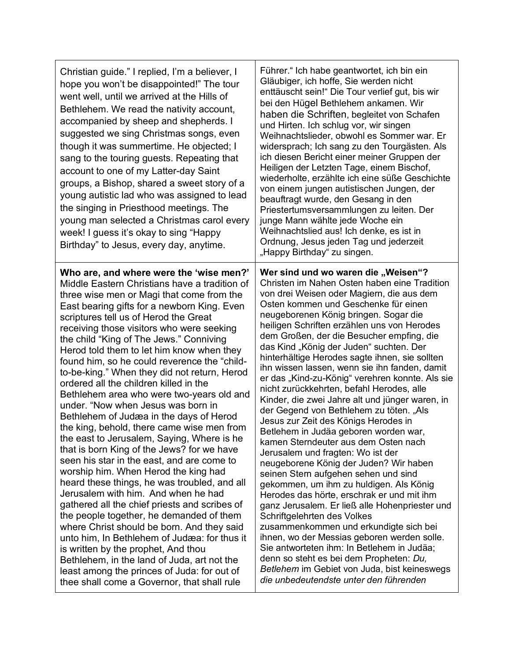| Christian guide." I replied, I'm a believer, I<br>hope you won't be disappointed!" The tour<br>went well, until we arrived at the Hills of<br>Bethlehem. We read the nativity account,<br>accompanied by sheep and shepherds. I<br>suggested we sing Christmas songs, even<br>though it was summertime. He objected; I<br>sang to the touring guests. Repeating that<br>account to one of my Latter-day Saint<br>groups, a Bishop, shared a sweet story of a<br>young autistic lad who was assigned to lead<br>the singing in Priesthood meetings. The<br>young man selected a Christmas carol every<br>week! I guess it's okay to sing "Happy<br>Birthday" to Jesus, every day, anytime.                                                                                                                                                                                                                                                                                                                                                                                                                                                                                                                                                                                                                                                        | Führer." Ich habe geantwortet, ich bin ein<br>Gläubiger, ich hoffe, Sie werden nicht<br>enttäuscht sein!" Die Tour verlief gut, bis wir<br>bei den Hügel Bethlehem ankamen. Wir<br>haben die Schriften, begleitet von Schafen<br>und Hirten. Ich schlug vor, wir singen<br>Weihnachtslieder, obwohl es Sommer war. Er<br>widersprach; Ich sang zu den Tourgästen. Als<br>ich diesen Bericht einer meiner Gruppen der<br>Heiligen der Letzten Tage, einem Bischof,<br>wiederholte, erzählte ich eine süße Geschichte<br>von einem jungen autistischen Jungen, der<br>beauftragt wurde, den Gesang in den<br>Priestertumsversammlungen zu leiten. Der<br>junge Mann wählte jede Woche ein<br>Weihnachtslied aus! Ich denke, es ist in<br>Ordnung, Jesus jeden Tag und jederzeit<br>"Happy Birthday" zu singen.                                                                                                                                                                                                                                                                                                                                                                                                                                                                                                                                                    |
|--------------------------------------------------------------------------------------------------------------------------------------------------------------------------------------------------------------------------------------------------------------------------------------------------------------------------------------------------------------------------------------------------------------------------------------------------------------------------------------------------------------------------------------------------------------------------------------------------------------------------------------------------------------------------------------------------------------------------------------------------------------------------------------------------------------------------------------------------------------------------------------------------------------------------------------------------------------------------------------------------------------------------------------------------------------------------------------------------------------------------------------------------------------------------------------------------------------------------------------------------------------------------------------------------------------------------------------------------|-----------------------------------------------------------------------------------------------------------------------------------------------------------------------------------------------------------------------------------------------------------------------------------------------------------------------------------------------------------------------------------------------------------------------------------------------------------------------------------------------------------------------------------------------------------------------------------------------------------------------------------------------------------------------------------------------------------------------------------------------------------------------------------------------------------------------------------------------------------------------------------------------------------------------------------------------------------------------------------------------------------------------------------------------------------------------------------------------------------------------------------------------------------------------------------------------------------------------------------------------------------------------------------------------------------------------------------------------------------------|
| Who are, and where were the 'wise men?'<br>Middle Eastern Christians have a tradition of<br>three wise men or Magi that come from the<br>East bearing gifts for a newborn King. Even<br>scriptures tell us of Herod the Great<br>receiving those visitors who were seeking<br>the child "King of The Jews." Conniving<br>Herod told them to let him know when they<br>found him, so he could reverence the "child-<br>to-be-king." When they did not return, Herod<br>ordered all the children killed in the<br>Bethlehem area who were two-years old and<br>under. "Now when Jesus was born in<br>Bethlehem of Judæa in the days of Herod<br>the king, behold, there came wise men from<br>the east to Jerusalem, Saying, Where is he<br>that is born King of the Jews? for we have<br>seen his star in the east, and are come to<br>worship him. When Herod the king had<br>heard these things, he was troubled, and all<br>Jerusalem with him. And when he had<br>gathered all the chief priests and scribes of<br>the people together, he demanded of them<br>where Christ should be born. And they said<br>unto him, In Bethlehem of Judæa: for thus it<br>is written by the prophet, And thou<br>Bethlehem, in the land of Juda, art not the<br>least among the princes of Juda: for out of<br>thee shall come a Governor, that shall rule | Wer sind und wo waren die "Weisen"?<br>Christen im Nahen Osten haben eine Tradition<br>von drei Weisen oder Magiern, die aus dem<br>Osten kommen und Geschenke für einen<br>neugeborenen König bringen. Sogar die<br>heiligen Schriften erzählen uns von Herodes<br>dem Großen, der die Besucher empfing, die<br>das Kind "König der Juden" suchten. Der<br>hinterhältige Herodes sagte ihnen, sie sollten<br>ihn wissen lassen, wenn sie ihn fanden, damit<br>er das "Kind-zu-König" verehren konnte. Als sie<br>nicht zurückkehrten, befahl Herodes, alle<br>Kinder, die zwei Jahre alt und jünger waren, in<br>der Gegend von Bethlehem zu töten. "Als<br>Jesus zur Zeit des Königs Herodes in<br>Betlehem in Judäa geboren worden war,<br>kamen Sterndeuter aus dem Osten nach<br>Jerusalem und fragten: Wo ist der<br>neugeborene König der Juden? Wir haben<br>seinen Stern aufgehen sehen und sind<br>gekommen, um ihm zu huldigen. Als König<br>Herodes das hörte, erschrak er und mit ihm<br>ganz Jerusalem. Er ließ alle Hohenpriester und<br>Schriftgelehrten des Volkes<br>zusammenkommen und erkundigte sich bei<br>ihnen, wo der Messias geboren werden solle.<br>Sie antworteten ihm: In Betlehem in Judäa;<br>denn so steht es bei dem Propheten: Du,<br>Betlehem im Gebiet von Juda, bist keineswegs<br>die unbedeutendste unter den führenden |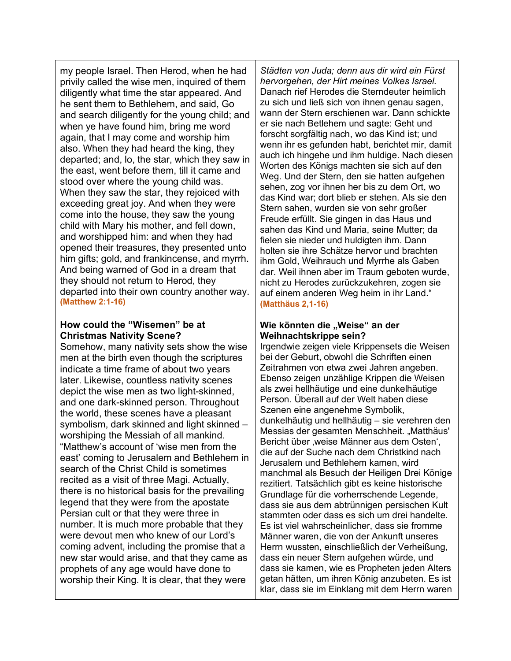| my people Israel. Then Herod, when he had<br>privily called the wise men, inquired of them<br>diligently what time the star appeared. And<br>he sent them to Bethlehem, and said, Go<br>and search diligently for the young child; and<br>when ye have found him, bring me word<br>again, that I may come and worship him<br>also. When they had heard the king, they<br>departed; and, lo, the star, which they saw in<br>the east, went before them, till it came and<br>stood over where the young child was.<br>When they saw the star, they rejoiced with<br>exceeding great joy. And when they were<br>come into the house, they saw the young<br>child with Mary his mother, and fell down,<br>and worshipped him: and when they had<br>opened their treasures, they presented unto<br>him gifts; gold, and frankincense, and myrrh.<br>And being warned of God in a dream that<br>they should not return to Herod, they<br>departed into their own country another way.<br>(Matthew 2:1-16)                                                                                                 | Städten von Juda; denn aus dir wird ein Fürst<br>hervorgehen, der Hirt meines Volkes Israel.<br>Danach rief Herodes die Sterndeuter heimlich<br>zu sich und ließ sich von ihnen genau sagen,<br>wann der Stern erschienen war. Dann schickte<br>er sie nach Betlehem und sagte: Geht und<br>forscht sorgfältig nach, wo das Kind ist; und<br>wenn ihr es gefunden habt, berichtet mir, damit<br>auch ich hingehe und ihm huldige. Nach diesen<br>Worten des Königs machten sie sich auf den<br>Weg. Und der Stern, den sie hatten aufgehen<br>sehen, zog vor ihnen her bis zu dem Ort, wo<br>das Kind war; dort blieb er stehen. Als sie den<br>Stern sahen, wurden sie von sehr großer<br>Freude erfüllt. Sie gingen in das Haus und<br>sahen das Kind und Maria, seine Mutter; da<br>fielen sie nieder und huldigten ihm. Dann<br>holten sie ihre Schätze hervor und brachten<br>ihm Gold, Weihrauch und Myrrhe als Gaben<br>dar. Weil ihnen aber im Traum geboten wurde,<br>nicht zu Herodes zurückzukehren, zogen sie<br>auf einem anderen Weg heim in ihr Land."<br>(Matthäus 2,1-16)                                                                                                                           |
|-----------------------------------------------------------------------------------------------------------------------------------------------------------------------------------------------------------------------------------------------------------------------------------------------------------------------------------------------------------------------------------------------------------------------------------------------------------------------------------------------------------------------------------------------------------------------------------------------------------------------------------------------------------------------------------------------------------------------------------------------------------------------------------------------------------------------------------------------------------------------------------------------------------------------------------------------------------------------------------------------------------------------------------------------------------------------------------------------------|----------------------------------------------------------------------------------------------------------------------------------------------------------------------------------------------------------------------------------------------------------------------------------------------------------------------------------------------------------------------------------------------------------------------------------------------------------------------------------------------------------------------------------------------------------------------------------------------------------------------------------------------------------------------------------------------------------------------------------------------------------------------------------------------------------------------------------------------------------------------------------------------------------------------------------------------------------------------------------------------------------------------------------------------------------------------------------------------------------------------------------------------------------------------------------------------------------------------|
| How could the "Wisemen" be at<br><b>Christmas Nativity Scene?</b><br>Somehow, many nativity sets show the wise<br>men at the birth even though the scriptures<br>indicate a time frame of about two years<br>later. Likewise, countless nativity scenes<br>depict the wise men as two light-skinned,<br>and one dark-skinned person. Throughout<br>the world, these scenes have a pleasant<br>symbolism, dark skinned and light skinned -<br>worshiping the Messiah of all mankind.<br>"Matthew's account of 'wise men from the<br>east' coming to Jerusalem and Bethlehem in<br>search of the Christ Child is sometimes<br>recited as a visit of three Magi. Actually,<br>there is no historical basis for the prevailing<br>legend that they were from the apostate<br>Persian cult or that they were three in<br>number. It is much more probable that they<br>were devout men who knew of our Lord's<br>coming advent, including the promise that a<br>new star would arise, and that they came as<br>prophets of any age would have done to<br>worship their King. It is clear, that they were | Wie könnten die "Weise" an der<br>Weihnachtskrippe sein?<br>Irgendwie zeigen viele Krippensets die Weisen<br>bei der Geburt, obwohl die Schriften einen<br>Zeitrahmen von etwa zwei Jahren angeben.<br>Ebenso zeigen unzählige Krippen die Weisen<br>als zwei hellhäutige und eine dunkelhäutige<br>Person. Überall auf der Welt haben diese<br>Szenen eine angenehme Symbolik,<br>dunkelhäutig und hellhäutig - sie verehren den<br>Messias der gesamten Menschheit. "Matthäus'<br>Bericht über ,weise Männer aus dem Osten',<br>die auf der Suche nach dem Christkind nach<br>Jerusalem und Bethlehem kamen, wird<br>manchmal als Besuch der Heiligen Drei Könige<br>rezitiert. Tatsächlich gibt es keine historische<br>Grundlage für die vorherrschende Legende,<br>dass sie aus dem abtrünnigen persischen Kult<br>stammten oder dass es sich um drei handelte.<br>Es ist viel wahrscheinlicher, dass sie fromme<br>Männer waren, die von der Ankunft unseres<br>Herrn wussten, einschließlich der Verheißung,<br>dass ein neuer Stern aufgehen würde, und<br>dass sie kamen, wie es Propheten jeden Alters<br>getan hätten, um ihren König anzubeten. Es ist<br>klar, dass sie im Einklang mit dem Herrn waren |